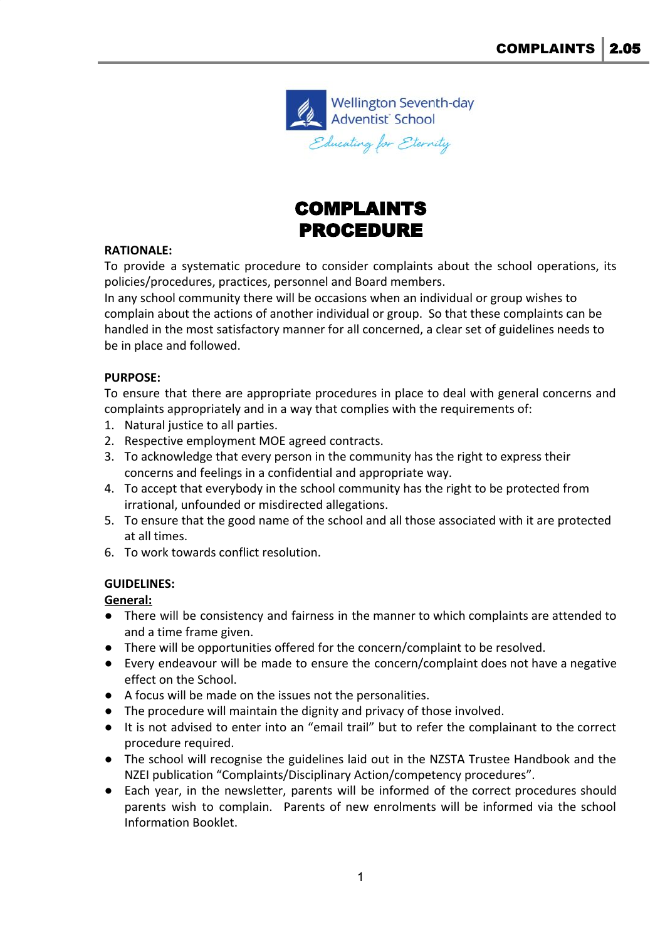



#### **RATIONALE:**

To provide a systematic procedure to consider complaints about the school operations, its policies/procedures, practices, personnel and Board members.

In any school community there will be occasions when an individual or group wishes to complain about the actions of another individual or group. So that these complaints can be handled in the most satisfactory manner for all concerned, a clear set of guidelines needs to be in place and followed.

#### **PURPOSE:**

To ensure that there are appropriate procedures in place to deal with general concerns and complaints appropriately and in a way that complies with the requirements of:

- 1. Natural justice to all parties.
- 2. Respective employment MOE agreed contracts.
- 3. To acknowledge that every person in the community has the right to express their concerns and feelings in a confidential and appropriate way.
- 4. To accept that everybody in the school community has the right to be protected from irrational, unfounded or misdirected allegations.
- 5. To ensure that the good name of the school and all those associated with it are protected at all times.
- 6. To work towards conflict resolution.

### **GUIDELINES:**

### **General:**

- There will be consistency and fairness in the manner to which complaints are attended to and a time frame given.
- There will be opportunities offered for the concern/complaint to be resolved.
- Every endeavour will be made to ensure the concern/complaint does not have a negative effect on the School.
- A focus will be made on the issues not the personalities.
- The procedure will maintain the dignity and privacy of those involved.
- It is not advised to enter into an "email trail" but to refer the complainant to the correct procedure required.
- The school will recognise the guidelines laid out in the NZSTA Trustee Handbook and the NZEI publication "Complaints/Disciplinary Action/competency procedures".
- Each year, in the newsletter, parents will be informed of the correct procedures should parents wish to complain. Parents of new enrolments will be informed via the school Information Booklet.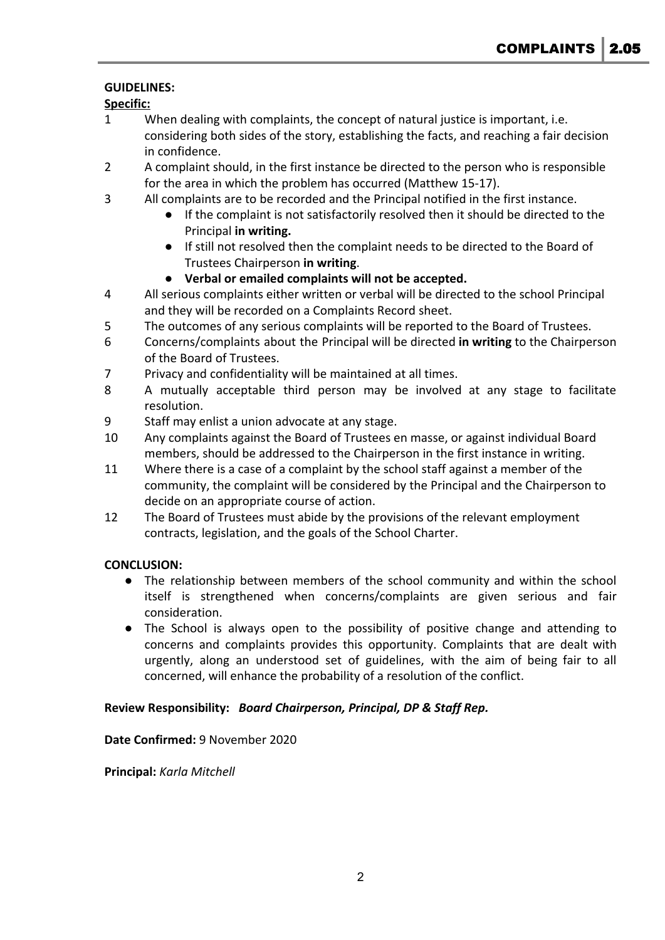## **GUIDELINES:**

## **Specific:**

- 1 When dealing with complaints, the concept of natural justice is important, i.e. considering both sides of the story, establishing the facts, and reaching a fair decision in confidence.
- 2 A complaint should, in the first instance be directed to the person who is responsible for the area in which the problem has occurred (Matthew 15-17).
- 3 All complaints are to be recorded and the Principal notified in the first instance.
	- **●** If the complaint is not satisfactorily resolved then it should be directed to the Principal **in writing.**
	- **●** If still not resolved then the complaint needs to be directed to the Board of Trustees Chairperson **in writing**.
	- **● Verbal or emailed complaints will not be accepted.**
- 4 All serious complaints either written or verbal will be directed to the school Principal and they will be recorded on a Complaints Record sheet.
- 5 The outcomes of any serious complaints will be reported to the Board of Trustees.
- 6 Concerns/complaints about the Principal will be directed **in writing** to the Chairperson of the Board of Trustees.
- 7 Privacy and confidentiality will be maintained at all times.
- 8 A mutually acceptable third person may be involved at any stage to facilitate resolution.
- 9 Staff may enlist a union advocate at any stage.
- 10 Any complaints against the Board of Trustees en masse, or against individual Board members, should be addressed to the Chairperson in the first instance in writing.
- 11 Where there is a case of a complaint by the school staff against a member of the community, the complaint will be considered by the Principal and the Chairperson to decide on an appropriate course of action.
- 12 The Board of Trustees must abide by the provisions of the relevant employment contracts, legislation, and the goals of the School Charter.

## **CONCLUSION:**

- The relationship between members of the school community and within the school itself is strengthened when concerns/complaints are given serious and fair consideration.
- The School is always open to the possibility of positive change and attending to concerns and complaints provides this opportunity. Complaints that are dealt with urgently, along an understood set of guidelines, with the aim of being fair to all concerned, will enhance the probability of a resolution of the conflict.

### **Review Responsibility:** *Board Chairperson, Principal, DP & Staff Rep.*

### **Date Confirmed:** 9 November 2020

**Principal:** *Karla Mitchell*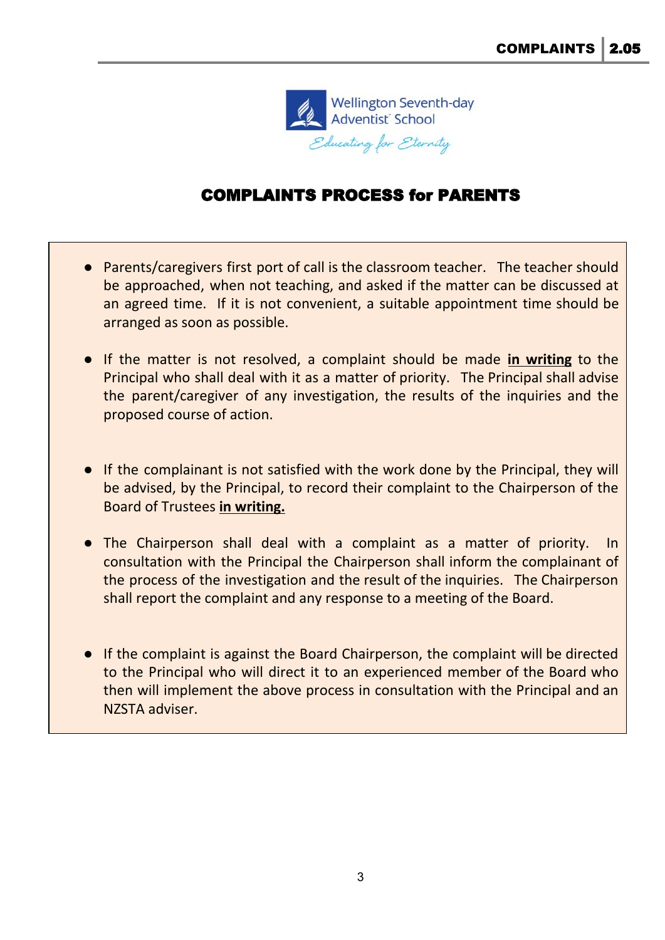

## COMPLAINTS PROCESS for PARENTS

- Parents/caregivers first port of call is the classroom teacher. The teacher should be approached, when not teaching, and asked if the matter can be discussed at an agreed time. If it is not convenient, a suitable appointment time should be arranged as soon as possible.
- If the matter is not resolved, a complaint should be made **in writing** to the Principal who shall deal with it as a matter of priority. The Principal shall advise the parent/caregiver of any investigation, the results of the inquiries and the proposed course of action.
- If the complainant is not satisfied with the work done by the Principal, they will be advised, by the Principal, to record their complaint to the Chairperson of the Board of Trustees **in writing.**
- The Chairperson shall deal with a complaint as a matter of priority. In consultation with the Principal the Chairperson shall inform the complainant of the process of the investigation and the result of the inquiries. The Chairperson shall report the complaint and any response to a meeting of the Board.
- If the complaint is against the Board Chairperson, the complaint will be directed to the Principal who will direct it to an experienced member of the Board who then will implement the above process in consultation with the Principal and an NZSTA adviser.